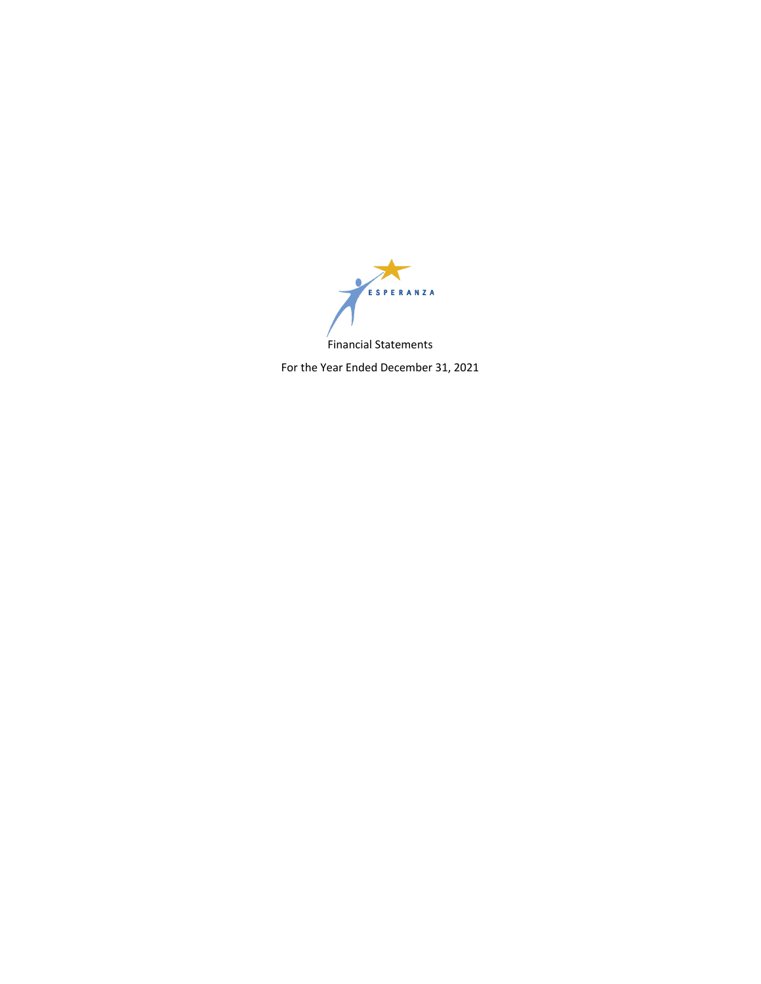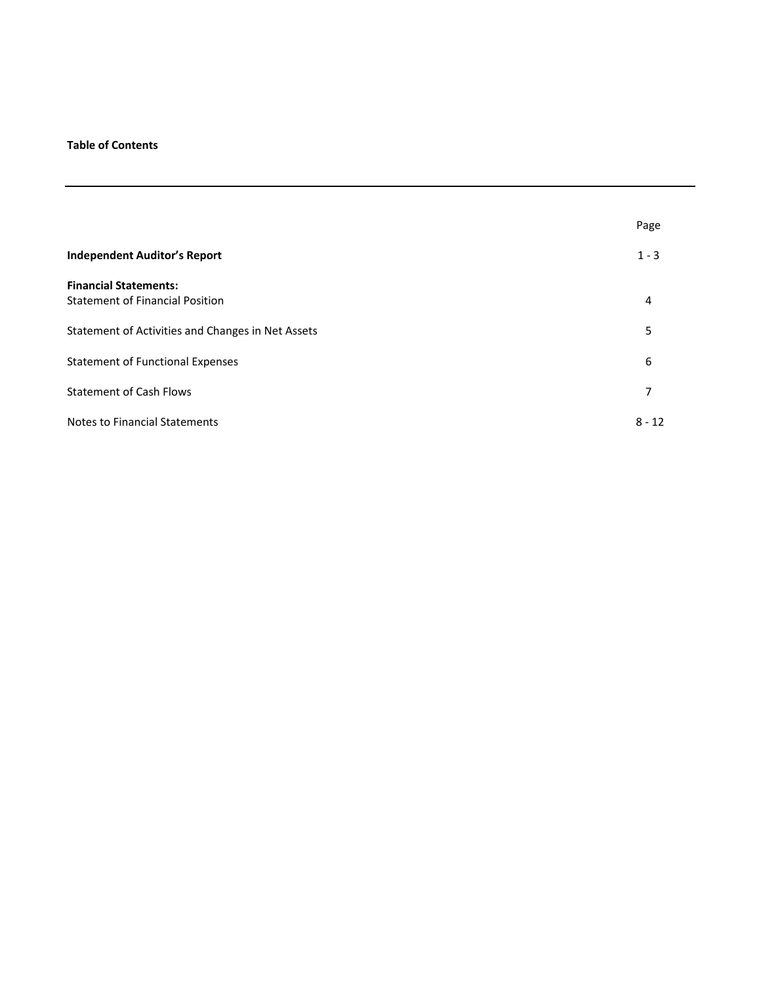## **Table of Contents**

|                                                   | Page     |
|---------------------------------------------------|----------|
| <b>Independent Auditor's Report</b>               | $1 - 3$  |
| <b>Financial Statements:</b>                      |          |
| <b>Statement of Financial Position</b>            | 4        |
| Statement of Activities and Changes in Net Assets | 5        |
| <b>Statement of Functional Expenses</b>           | 6        |
| <b>Statement of Cash Flows</b>                    | 7        |
| <b>Notes to Financial Statements</b>              | $8 - 12$ |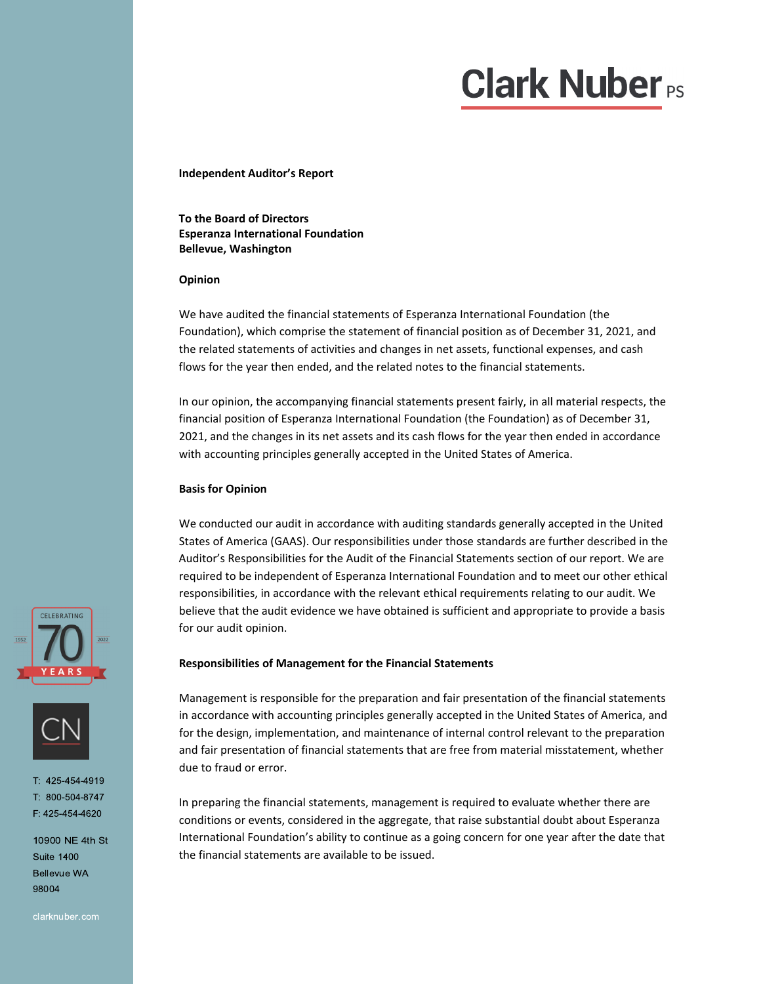# $\mathbf{r}$

**Independent Auditor's Report**

**To the Board of Directors Esperanza International Foundation Bellevue, Washington** 

#### **Opinion**

We have audited the financial statements of Esperanza International Foundation (the Foundation), which comprise the statement of financial position as of December 31, 2021, and the related statements of activities and changes in net assets, functional expenses, and cash flows for the year then ended, and the related notes to the financial statements.

In our opinion, the accompanying financial statements present fairly, in all material respects, the financial position of Esperanza International Foundation (the Foundation) as of December 31, 2021, and the changes in its net assets and its cash flows for the year then ended in accordance with accounting principles generally accepted in the United States of America.

#### **Basis for Opinion**

We conducted our audit in accordance with auditing standards generally accepted in the United States of America (GAAS). Our responsibilities under those standards are further described in the Auditor's Responsibilities for the Audit of the Financial Statements section of our report. We are required to be independent of Esperanza International Foundation and to meet our other ethical responsibilities, in accordance with the relevant ethical requirements relating to our audit. We believe that the audit evidence we have obtained is sufficient and appropriate to provide a basis for our audit opinion.

#### **Responsibilities of Management for the Financial Statements**

Management is responsible for the preparation and fair presentation of the financial statements in accordance with accounting principles generally accepted in the United States of America, and for the design, implementation, and maintenance of internal control relevant to the preparation and fair presentation of financial statements that are free from material misstatement, whether due to fraud or error.

In preparing the financial statements, management is required to evaluate whether there are conditions or events, considered in the aggregate, that raise substantial doubt about Esperanza International Foundation's ability to continue as a going concern for one year after the date that the financial statements are available to be issued.





1:425-454-4919  $1: 800 - 504 - 8747$ F: 425-454-4620

10900 NE 4th St **Suite 1400 Bellevue WA** 98004

clarknuber.com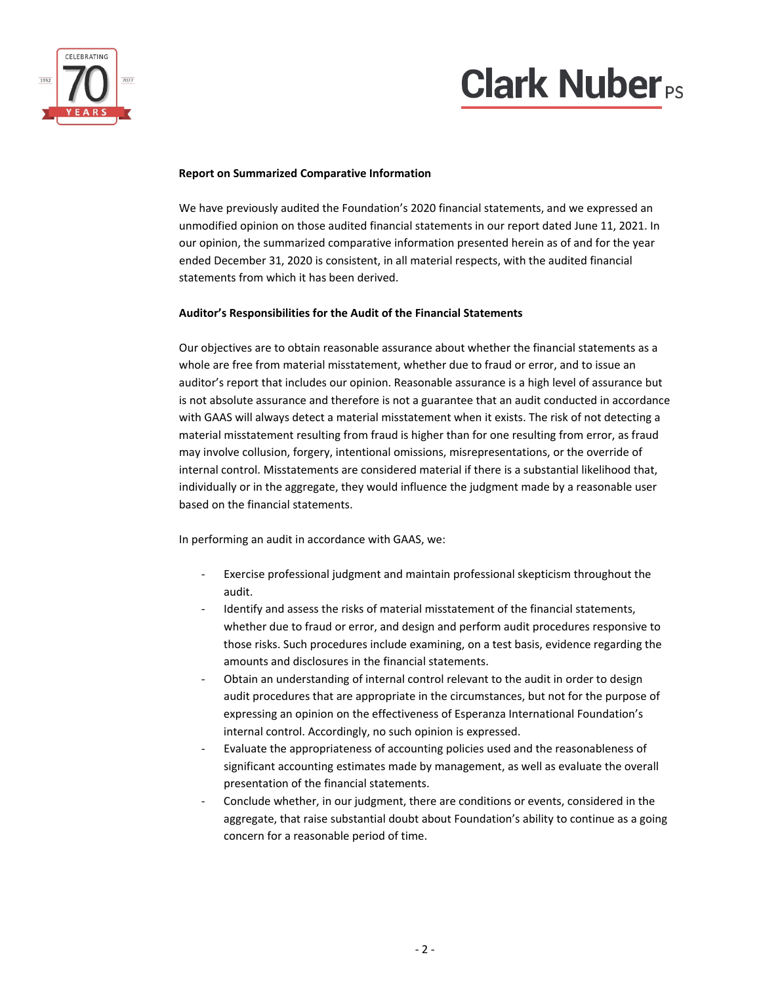

# **Clark Nuber**<sub>PS</sub>

#### **Report on Summarized Comparative Information**

We have previously audited the Foundation's 2020 financial statements, and we expressed an unmodified opinion on those audited financial statements in our report dated June 11, 2021. In our opinion, the summarized comparative information presented herein as of and for the year ended December 31, 2020 is consistent, in all material respects, with the audited financial statements from which it has been derived.

### **Auditor's Responsibilities for the Audit of the Financial Statements**

Our objectives are to obtain reasonable assurance about whether the financial statements as a whole are free from material misstatement, whether due to fraud or error, and to issue an auditor's report that includes our opinion. Reasonable assurance is a high level of assurance but is not absolute assurance and therefore is not a guarantee that an audit conducted in accordance with GAAS will always detect a material misstatement when it exists. The risk of not detecting a material misstatement resulting from fraud is higher than for one resulting from error, as fraud may involve collusion, forgery, intentional omissions, misrepresentations, or the override of internal control. Misstatements are considered material if there is a substantial likelihood that, individually or in the aggregate, they would influence the judgment made by a reasonable user based on the financial statements.

In performing an audit in accordance with GAAS, we:

- ‐ Exercise professional judgment and maintain professional skepticism throughout the audit.
- ‐ Identify and assess the risks of material misstatement of the financial statements, whether due to fraud or error, and design and perform audit procedures responsive to those risks. Such procedures include examining, on a test basis, evidence regarding the amounts and disclosures in the financial statements.
- ‐ Obtain an understanding of internal control relevant to the audit in order to design audit procedures that are appropriate in the circumstances, but not for the purpose of expressing an opinion on the effectiveness of Esperanza International Foundation's internal control. Accordingly, no such opinion is expressed.
- ‐ Evaluate the appropriateness of accounting policies used and the reasonableness of significant accounting estimates made by management, as well as evaluate the overall presentation of the financial statements.
- ‐ Conclude whether, in our judgment, there are conditions or events, considered in the aggregate, that raise substantial doubt about Foundation's ability to continue as a going concern for a reasonable period of time.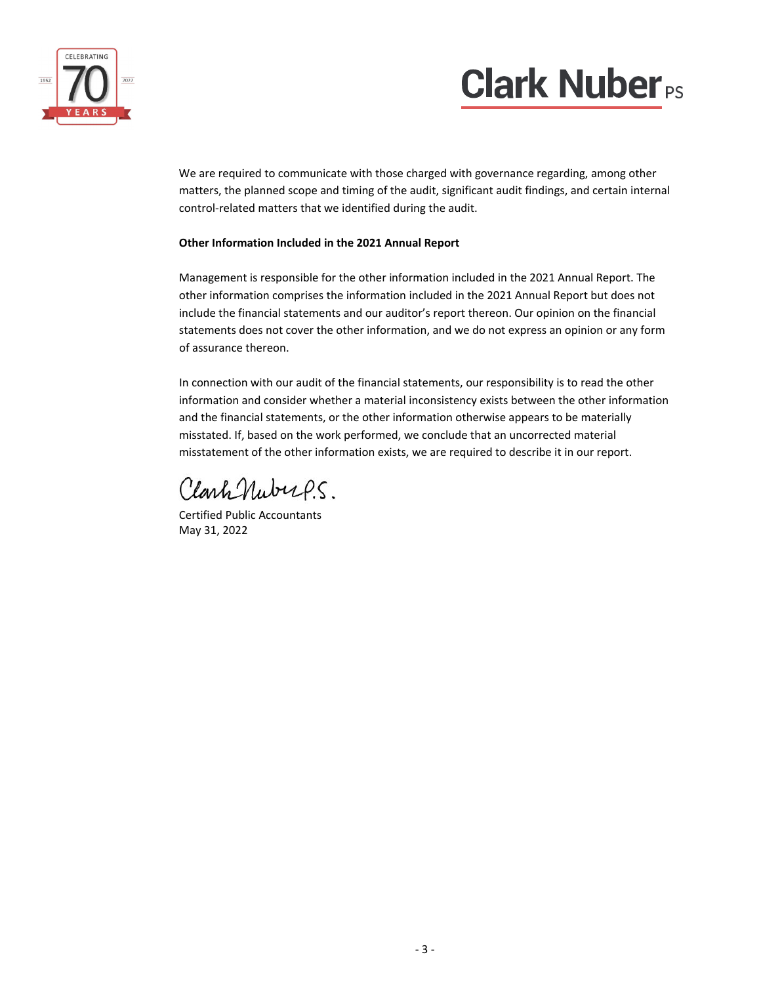



 We are required to communicate with those charged with governance regarding, among other matters, the planned scope and timing of the audit, significant audit findings, and certain internal control‐related matters that we identified during the audit.

### **Other Information Included in the 2021 Annual Report**

Management is responsible for the other information included in the 2021 Annual Report. The other information comprises the information included in the 2021 Annual Report but does not include the financial statements and our auditor's report thereon. Our opinion on the financial statements does not cover the other information, and we do not express an opinion or any form of assurance thereon.

In connection with our audit of the financial statements, our responsibility is to read the other information and consider whether a material inconsistency exists between the other information and the financial statements, or the other information otherwise appears to be materially misstated. If, based on the work performed, we conclude that an uncorrected material misstatement of the other information exists, we are required to describe it in our report.

ClarkNubup.5.

Certified Public Accountants May 31, 2022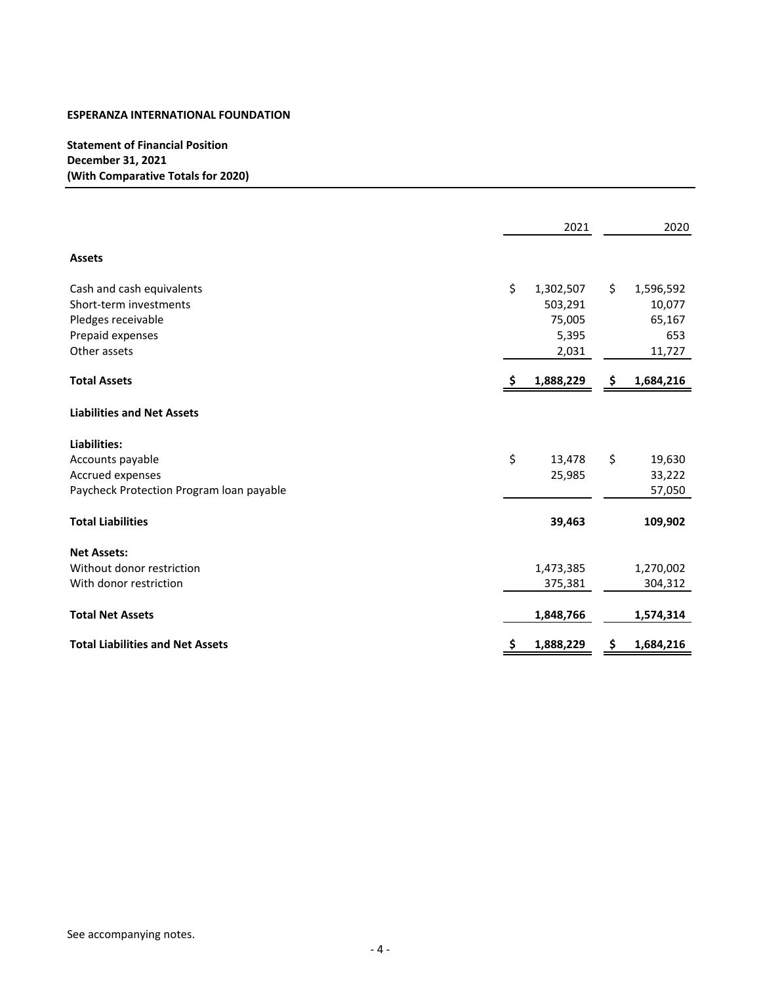## **Statement of Financial Position December 31, 2021 (With Comparative Totals for 2020)**

|                                          |     | 2021      |     | 2020      |
|------------------------------------------|-----|-----------|-----|-----------|
| <b>Assets</b>                            |     |           |     |           |
| Cash and cash equivalents                | \$  | 1,302,507 | \$. | 1,596,592 |
| Short-term investments                   |     | 503,291   |     | 10,077    |
| Pledges receivable                       |     | 75,005    |     | 65,167    |
| Prepaid expenses                         |     | 5,395     |     | 653       |
| Other assets                             |     | 2,031     |     | 11,727    |
| <b>Total Assets</b>                      | -\$ | 1,888,229 | Ş   | 1,684,216 |
| <b>Liabilities and Net Assets</b>        |     |           |     |           |
| Liabilities:                             |     |           |     |           |
| Accounts payable                         | \$  | 13,478    | \$  | 19,630    |
| Accrued expenses                         |     | 25,985    |     | 33,222    |
| Paycheck Protection Program Ioan payable |     |           |     | 57,050    |
| <b>Total Liabilities</b>                 |     | 39,463    |     | 109,902   |
| <b>Net Assets:</b>                       |     |           |     |           |
| Without donor restriction                |     | 1,473,385 |     | 1,270,002 |
| With donor restriction                   |     | 375,381   |     | 304,312   |
| <b>Total Net Assets</b>                  |     | 1,848,766 |     | 1,574,314 |
| <b>Total Liabilities and Net Assets</b>  | Ş   | 1,888,229 | Ş   | 1,684,216 |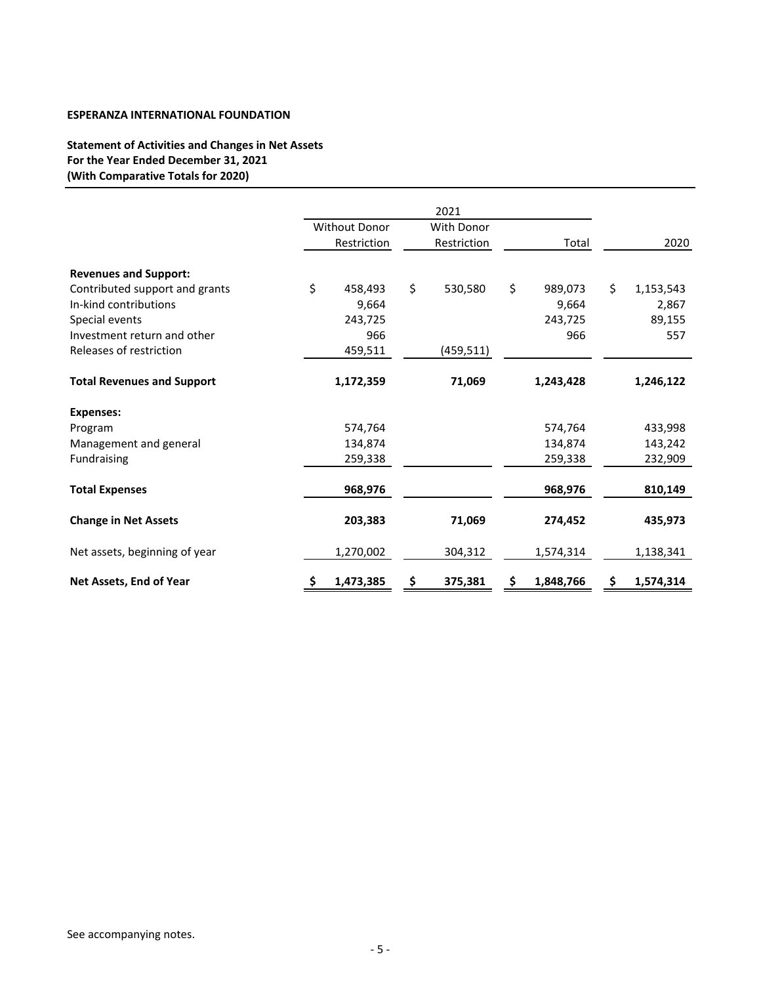## **Statement of Activities and Changes in Net Assets For the Year Ended December 31, 2021 (With Comparative Totals for 2020)**

|                                   |                      | 2021              |                 |                 |
|-----------------------------------|----------------------|-------------------|-----------------|-----------------|
|                                   | <b>Without Donor</b> | <b>With Donor</b> |                 |                 |
|                                   | Restriction          | Restriction       | Total           | 2020            |
| <b>Revenues and Support:</b>      |                      |                   |                 |                 |
| Contributed support and grants    | \$<br>458,493        | \$<br>530,580     | \$<br>989,073   | \$<br>1,153,543 |
| In-kind contributions             | 9,664                |                   | 9,664           | 2,867           |
| Special events                    | 243,725              |                   | 243,725         | 89,155          |
| Investment return and other       | 966                  |                   | 966             | 557             |
| Releases of restriction           | 459,511              | (459,511)         |                 |                 |
| <b>Total Revenues and Support</b> | 1,172,359            | 71,069            | 1,243,428       | 1,246,122       |
| <b>Expenses:</b>                  |                      |                   |                 |                 |
| Program                           | 574,764              |                   | 574,764         | 433,998         |
| Management and general            | 134,874              |                   | 134,874         | 143,242         |
| Fundraising                       | 259,338              |                   | 259,338         | 232,909         |
| <b>Total Expenses</b>             | 968,976              |                   | 968,976         | 810,149         |
| <b>Change in Net Assets</b>       | 203,383              | 71,069            | 274,452         | 435,973         |
| Net assets, beginning of year     | 1,270,002            | 304,312           | 1,574,314       | 1,138,341       |
| Net Assets, End of Year           | \$<br>1,473,385      | \$<br>375,381     | \$<br>1,848,766 | \$<br>1,574,314 |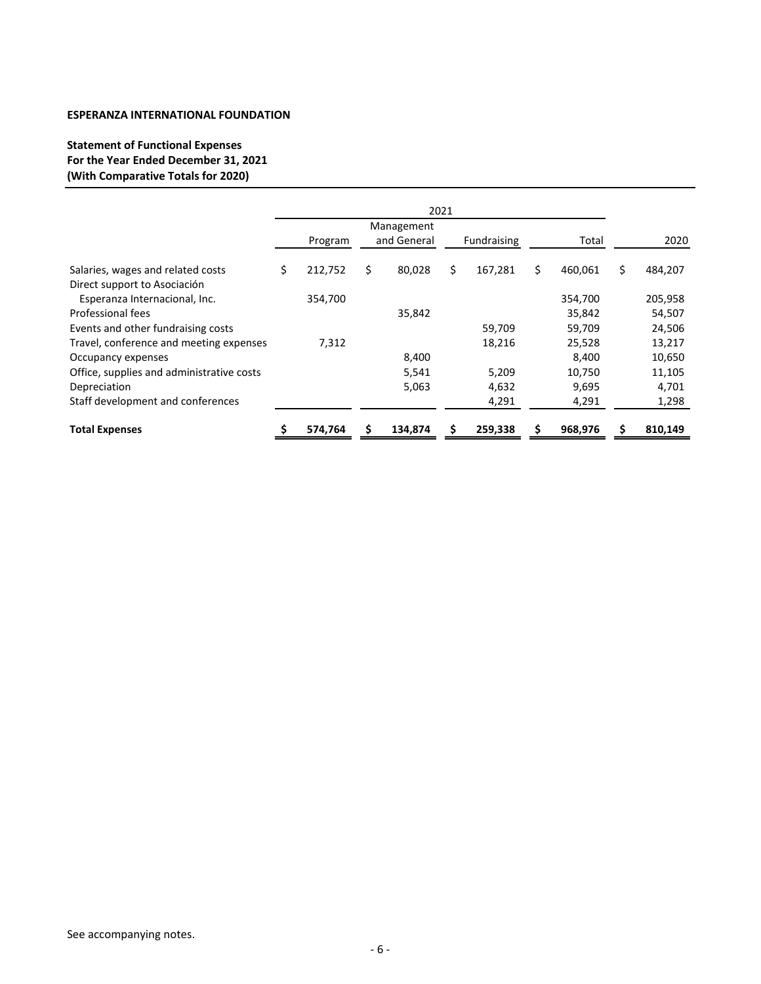## **Statement of Functional Expenses For the Year Ended December 31, 2021 (With Comparative Totals for 2020)**

|                                           |    |         | 2021          |               |               |    |         |
|-------------------------------------------|----|---------|---------------|---------------|---------------|----|---------|
|                                           |    |         | Management    |               |               |    |         |
|                                           |    | Program | and General   | Fundraising   | Total         |    | 2020    |
| Salaries, wages and related costs         | Ś. | 212,752 | \$<br>80,028  | \$<br>167,281 | \$<br>460,061 | \$ | 484,207 |
| Direct support to Asociación              |    |         |               |               |               |    |         |
| Esperanza Internacional, Inc.             |    | 354,700 |               |               | 354,700       |    | 205,958 |
| Professional fees                         |    |         | 35,842        |               | 35,842        |    | 54,507  |
| Events and other fundraising costs        |    |         |               | 59,709        | 59,709        |    | 24,506  |
| Travel, conference and meeting expenses   |    | 7,312   |               | 18,216        | 25,528        |    | 13,217  |
| Occupancy expenses                        |    |         | 8,400         |               | 8,400         |    | 10,650  |
| Office, supplies and administrative costs |    |         | 5,541         | 5,209         | 10,750        |    | 11,105  |
| Depreciation                              |    |         | 5,063         | 4,632         | 9,695         |    | 4,701   |
| Staff development and conferences         |    |         |               | 4,291         | 4,291         |    | 1,298   |
| <b>Total Expenses</b>                     |    | 574,764 | \$<br>134,874 | \$<br>259,338 | \$<br>968,976 | S  | 810,149 |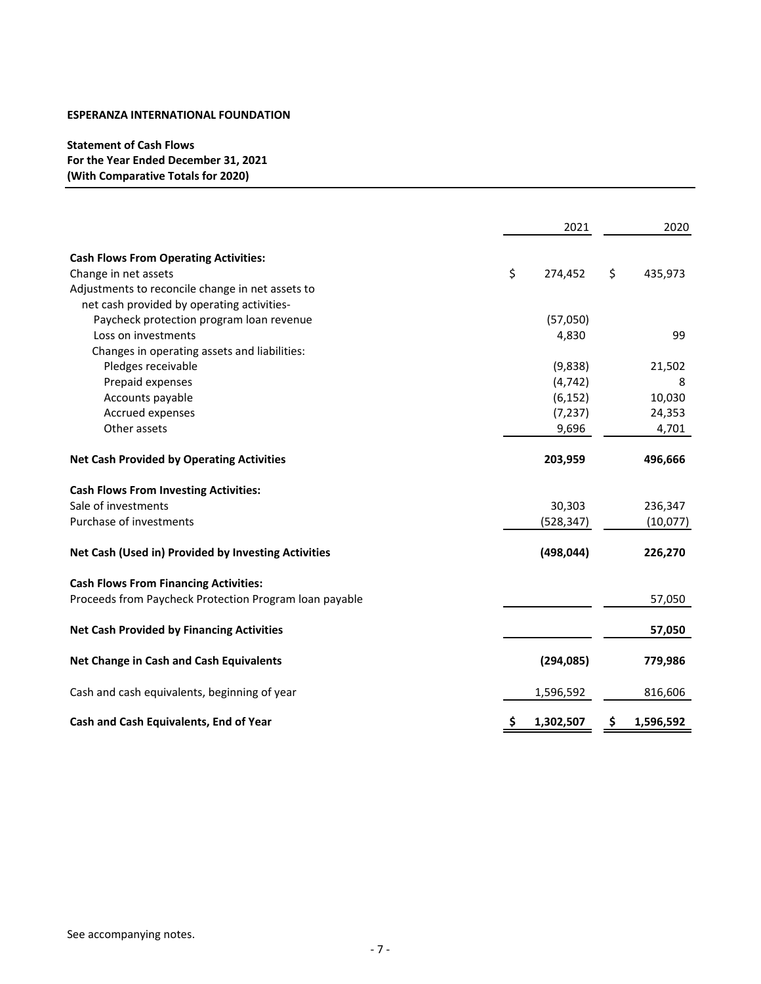## **Statement of Cash Flows For the Year Ended December 31, 2021 (With Comparative Totals for 2020)**

|                                                        | 2021            | 2020            |
|--------------------------------------------------------|-----------------|-----------------|
| <b>Cash Flows From Operating Activities:</b>           |                 |                 |
| Change in net assets                                   | \$<br>274,452   | \$<br>435,973   |
| Adjustments to reconcile change in net assets to       |                 |                 |
| net cash provided by operating activities-             |                 |                 |
| Paycheck protection program loan revenue               | (57,050)        |                 |
| Loss on investments                                    | 4,830           | 99              |
| Changes in operating assets and liabilities:           |                 |                 |
| Pledges receivable                                     | (9,838)         | 21,502          |
| Prepaid expenses                                       | (4, 742)        | 8               |
| Accounts payable                                       | (6, 152)        | 10,030          |
| Accrued expenses                                       | (7, 237)        | 24,353          |
| Other assets                                           |                 |                 |
|                                                        | 9,696           | 4,701           |
| <b>Net Cash Provided by Operating Activities</b>       | 203,959         | 496,666         |
| <b>Cash Flows From Investing Activities:</b>           |                 |                 |
| Sale of investments                                    | 30,303          | 236,347         |
| Purchase of investments                                | (528,347)       | (10,077)        |
| Net Cash (Used in) Provided by Investing Activities    | (498, 044)      | 226,270         |
| <b>Cash Flows From Financing Activities:</b>           |                 |                 |
| Proceeds from Paycheck Protection Program loan payable |                 | 57,050          |
| <b>Net Cash Provided by Financing Activities</b>       |                 | 57,050          |
|                                                        |                 |                 |
| Net Change in Cash and Cash Equivalents                | (294, 085)      | 779,986         |
| Cash and cash equivalents, beginning of year           | 1,596,592       | 816,606         |
| Cash and Cash Equivalents, End of Year                 | \$<br>1,302,507 | \$<br>1,596,592 |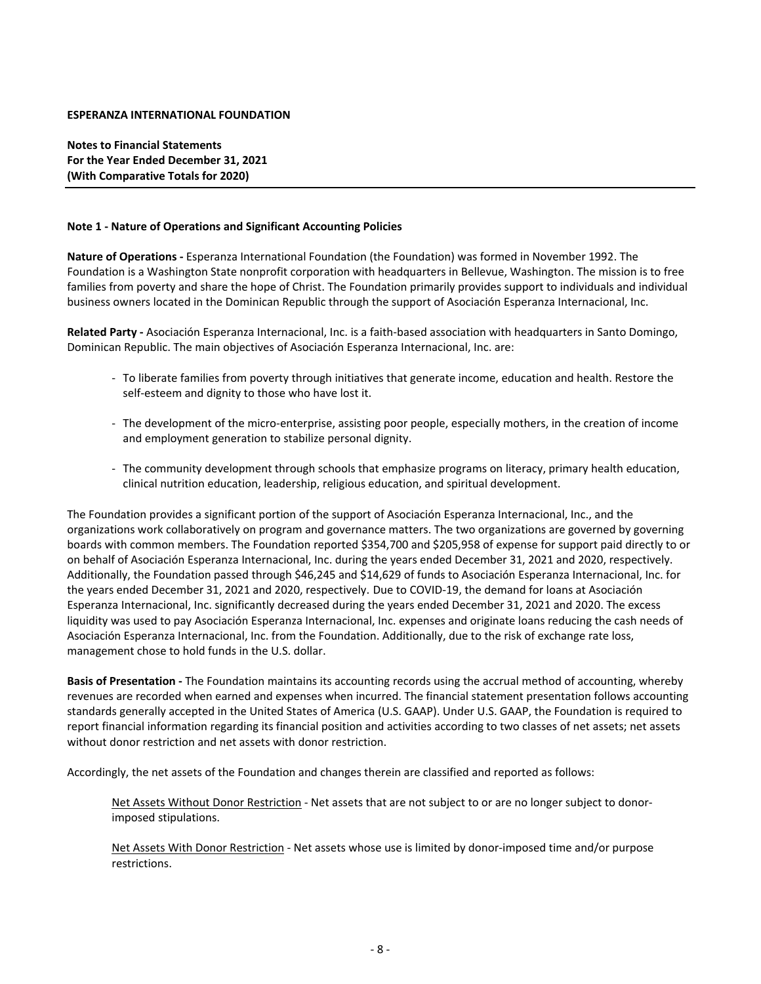**Notes to Financial Statements For the Year Ended December 31, 2021 (With Comparative Totals for 2020)**

#### **Note 1 ‐ Nature of Operations and Significant Accounting Policies**

**Nature of Operations ‐** Esperanza International Foundation (the Foundation) was formed in November 1992. The Foundation is a Washington State nonprofit corporation with headquarters in Bellevue, Washington. The mission is to free families from poverty and share the hope of Christ. The Foundation primarily provides support to individuals and individual business owners located in the Dominican Republic through the support of Asociación Esperanza Internacional, Inc.

**Related Party ‐** Asociación Esperanza Internacional, Inc. is a faith‐based association with headquarters in Santo Domingo, Dominican Republic. The main objectives of Asociación Esperanza Internacional, Inc. are:

- ‐ To liberate families from poverty through initiatives that generate income, education and health. Restore the self-esteem and dignity to those who have lost it.
- ‐ The development of the micro‐enterprise, assisting poor people, especially mothers, in the creation of income and employment generation to stabilize personal dignity.
- ‐ The community development through schools that emphasize programs on literacy, primary health education, clinical nutrition education, leadership, religious education, and spiritual development.

The Foundation provides a significant portion of the support of Asociación Esperanza Internacional, Inc., and the organizations work collaboratively on program and governance matters. The two organizations are governed by governing boards with common members. The Foundation reported \$354,700 and \$205,958 of expense for support paid directly to or on behalf of Asociación Esperanza Internacional, Inc. during the years ended December 31, 2021 and 2020, respectively. Additionally, the Foundation passed through \$46,245 and \$14,629 of funds to Asociación Esperanza Internacional, Inc. for the years ended December 31, 2021 and 2020, respectively. Due to COVID‐19, the demand for loans at Asociación Esperanza Internacional, Inc. significantly decreased during the years ended December 31, 2021 and 2020. The excess liquidity was used to pay Asociación Esperanza Internacional, Inc. expenses and originate loans reducing the cash needs of Asociación Esperanza Internacional, Inc. from the Foundation. Additionally, due to the risk of exchange rate loss, management chose to hold funds in the U.S. dollar.

**Basis of Presentation ‐** The Foundation maintains its accounting records using the accrual method of accounting, whereby revenues are recorded when earned and expenses when incurred. The financial statement presentation follows accounting standards generally accepted in the United States of America (U.S. GAAP). Under U.S. GAAP, the Foundation is required to report financial information regarding its financial position and activities according to two classes of net assets; net assets without donor restriction and net assets with donor restriction.

Accordingly, the net assets of the Foundation and changes therein are classified and reported as follows:

Net Assets Without Donor Restriction ‐ Net assets that are not subject to or are no longer subject to donor‐ imposed stipulations.

Net Assets With Donor Restriction ‐ Net assets whose use is limited by donor‐imposed time and/or purpose restrictions.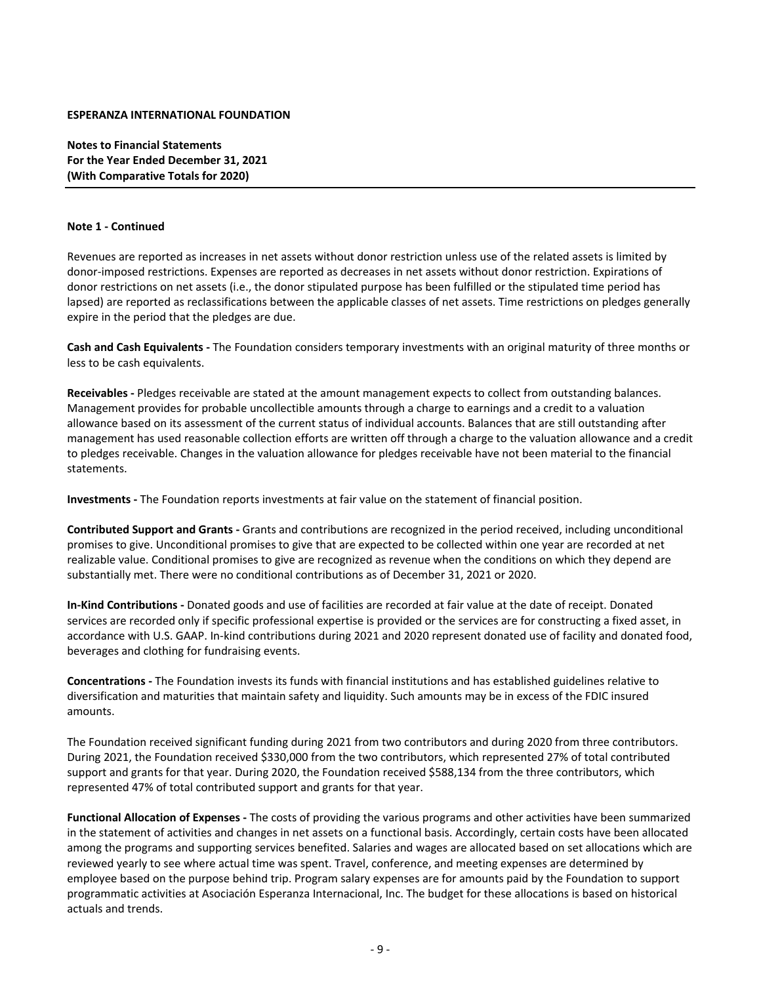**Notes to Financial Statements For the Year Ended December 31, 2021 (With Comparative Totals for 2020)**

#### **Note 1 ‐ Continued**

Revenues are reported as increases in net assets without donor restriction unless use of the related assets is limited by donor‐imposed restrictions. Expenses are reported as decreases in net assets without donor restriction. Expirations of donor restrictions on net assets (i.e., the donor stipulated purpose has been fulfilled or the stipulated time period has lapsed) are reported as reclassifications between the applicable classes of net assets. Time restrictions on pledges generally expire in the period that the pledges are due.

**Cash and Cash Equivalents ‐** The Foundation considers temporary investments with an original maturity of three months or less to be cash equivalents.

**Receivables ‐** Pledges receivable are stated at the amount management expects to collect from outstanding balances. Management provides for probable uncollectible amounts through a charge to earnings and a credit to a valuation allowance based on its assessment of the current status of individual accounts. Balances that are still outstanding after management has used reasonable collection efforts are written off through a charge to the valuation allowance and a credit to pledges receivable. Changes in the valuation allowance for pledges receivable have not been material to the financial statements.

**Investments ‐** The Foundation reports investments at fair value on the statement of financial position.

**Contributed Support and Grants ‐** Grants and contributions are recognized in the period received, including unconditional promises to give. Unconditional promises to give that are expected to be collected within one year are recorded at net realizable value. Conditional promises to give are recognized as revenue when the conditions on which they depend are substantially met. There were no conditional contributions as of December 31, 2021 or 2020.

**In‐Kind Contributions ‐** Donated goods and use of facilities are recorded at fair value at the date of receipt. Donated services are recorded only if specific professional expertise is provided or the services are for constructing a fixed asset, in accordance with U.S. GAAP. In‐kind contributions during 2021 and 2020 represent donated use of facility and donated food, beverages and clothing for fundraising events.

**Concentrations ‐** The Foundation invests its funds with financial institutions and has established guidelines relative to diversification and maturities that maintain safety and liquidity. Such amounts may be in excess of the FDIC insured amounts.

The Foundation received significant funding during 2021 from two contributors and during 2020 from three contributors. During 2021, the Foundation received \$330,000 from the two contributors, which represented 27% of total contributed support and grants for that year. During 2020, the Foundation received \$588,134 from the three contributors, which represented 47% of total contributed support and grants for that year.

**Functional Allocation of Expenses ‐** The costs of providing the various programs and other activities have been summarized in the statement of activities and changes in net assets on a functional basis. Accordingly, certain costs have been allocated among the programs and supporting services benefited. Salaries and wages are allocated based on set allocations which are reviewed yearly to see where actual time was spent. Travel, conference, and meeting expenses are determined by employee based on the purpose behind trip. Program salary expenses are for amounts paid by the Foundation to support programmatic activities at Asociación Esperanza Internacional, Inc. The budget for these allocations is based on historical actuals and trends.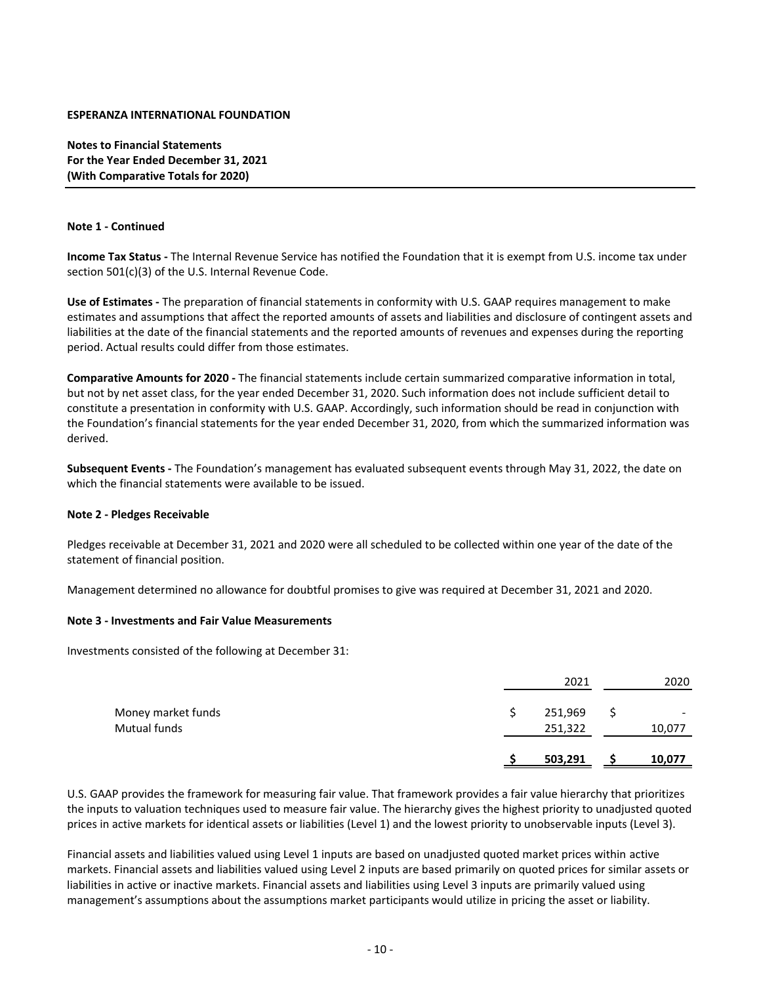**Notes to Financial Statements For the Year Ended December 31, 2021 (With Comparative Totals for 2020)**

#### **Note 1 ‐ Continued**

**Income Tax Status ‐** The Internal Revenue Service has notified the Foundation that it is exempt from U.S. income tax under section 501(c)(3) of the U.S. Internal Revenue Code.

**Use of Estimates ‐** The preparation of financial statements in conformity with U.S. GAAP requires management to make estimates and assumptions that affect the reported amounts of assets and liabilities and disclosure of contingent assets and liabilities at the date of the financial statements and the reported amounts of revenues and expenses during the reporting period. Actual results could differ from those estimates.

**Comparative Amounts for 2020 ‐** The financial statements include certain summarized comparative information in total, but not by net asset class, for the year ended December 31, 2020. Such information does not include sufficient detail to constitute a presentation in conformity with U.S. GAAP. Accordingly, such information should be read in conjunction with the Foundation's financial statements for the year ended December 31, 2020, from which the summarized information was derived.

**Subsequent Events ‐** The Foundation's management has evaluated subsequent events through May 31, 2022, the date on which the financial statements were available to be issued.

#### **Note 2 ‐ Pledges Receivable**

Pledges receivable at December 31, 2021 and 2020 were all scheduled to be collected within one year of the date of the statement of financial position.

Management determined no allowance for doubtful promises to give was required at December 31, 2021 and 2020.

#### **Note 3 ‐ Investments and Fair Value Measurements**

Investments consisted of the following at December 31:

|                    | 2021    | 2020                     |
|--------------------|---------|--------------------------|
| Money market funds | 251,969 | $\overline{\phantom{0}}$ |
| Mutual funds       | 251,322 | 10,077                   |
|                    | 503,291 | 10,077                   |

U.S. GAAP provides the framework for measuring fair value. That framework provides a fair value hierarchy that prioritizes the inputs to valuation techniques used to measure fair value. The hierarchy gives the highest priority to unadjusted quoted prices in active markets for identical assets or liabilities (Level 1) and the lowest priority to unobservable inputs (Level 3).

Financial assets and liabilities valued using Level 1 inputs are based on unadjusted quoted market prices within active markets. Financial assets and liabilities valued using Level 2 inputs are based primarily on quoted prices for similar assets or liabilities in active or inactive markets. Financial assets and liabilities using Level 3 inputs are primarily valued using management's assumptions about the assumptions market participants would utilize in pricing the asset or liability.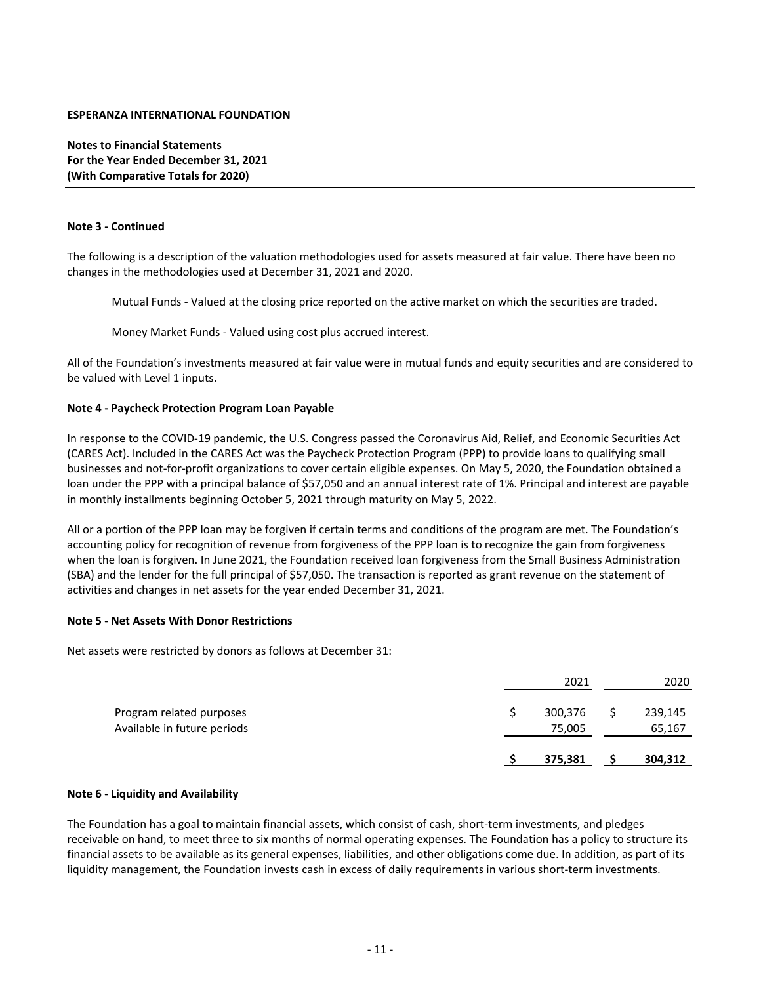**Notes to Financial Statements For the Year Ended December 31, 2021 (With Comparative Totals for 2020)**

#### **Note 3 ‐ Continued**

The following is a description of the valuation methodologies used for assets measured at fair value. There have been no changes in the methodologies used at December 31, 2021 and 2020.

Mutual Funds ‐ Valued at the closing price reported on the active market on which the securities are traded.

Money Market Funds ‐ Valued using cost plus accrued interest.

All of the Foundation's investments measured at fair value were in mutual funds and equity securities and are considered to be valued with Level 1 inputs.

#### **Note 4 ‐ Paycheck Protection Program Loan Payable**

In response to the COVID‐19 pandemic, the U.S. Congress passed the Coronavirus Aid, Relief, and Economic Securities Act (CARES Act). Included in the CARES Act was the Paycheck Protection Program (PPP) to provide loans to qualifying small businesses and not‐for‐profit organizations to cover certain eligible expenses. On May 5, 2020, the Foundation obtained a loan under the PPP with a principal balance of \$57,050 and an annual interest rate of 1%. Principal and interest are payable in monthly installments beginning October 5, 2021 through maturity on May 5, 2022.

All or a portion of the PPP loan may be forgiven if certain terms and conditions of the program are met. The Foundation's accounting policy for recognition of revenue from forgiveness of the PPP loan is to recognize the gain from forgiveness when the loan is forgiven. In June 2021, the Foundation received loan forgiveness from the Small Business Administration (SBA) and the lender for the full principal of \$57,050. The transaction is reported as grant revenue on the statement of activities and changes in net assets for the year ended December 31, 2021.

#### **Note 5 ‐ Net Assets With Donor Restrictions**

Net assets were restricted by donors as follows at December 31:

| Available in future periods | 75,005  | 65,167  |
|-----------------------------|---------|---------|
| Program related purposes    | 300,376 | 239,145 |
|                             | 2021    | 2020    |

#### **Note 6 ‐ Liquidity and Availability**

The Foundation has a goal to maintain financial assets, which consist of cash, short‐term investments, and pledges receivable on hand, to meet three to six months of normal operating expenses. The Foundation has a policy to structure its financial assets to be available as its general expenses, liabilities, and other obligations come due. In addition, as part of its liquidity management, the Foundation invests cash in excess of daily requirements in various short‐term investments.